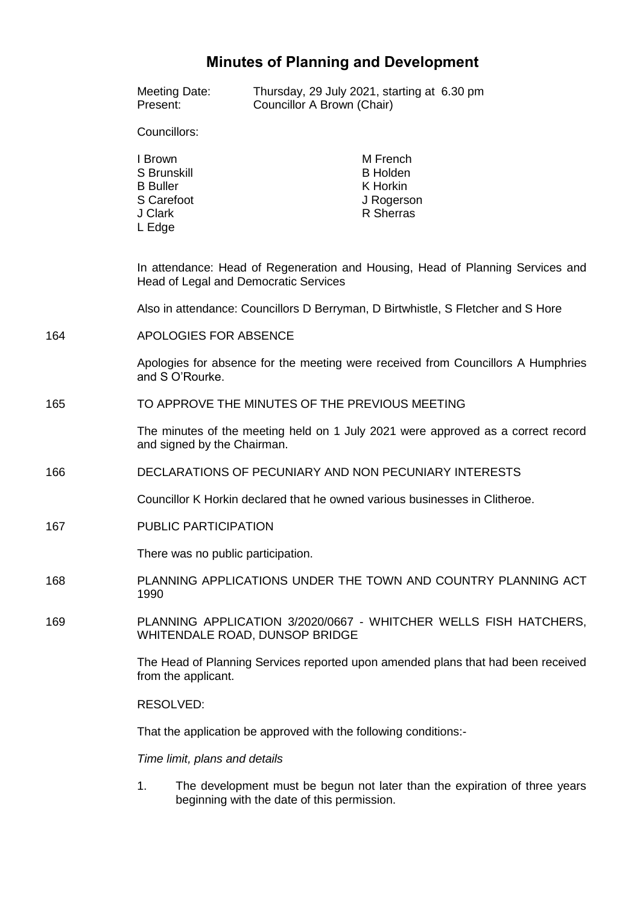# **Minutes of Planning and Development**

|     | Meeting Date:<br>Present:                                                                                               | Councillor A Brown (Chair) | Thursday, 29 July 2021, starting at 6.30 pm                         |  |
|-----|-------------------------------------------------------------------------------------------------------------------------|----------------------------|---------------------------------------------------------------------|--|
|     | Councillors:                                                                                                            |                            |                                                                     |  |
|     | I Brown<br>S Brunskill<br><b>B</b> Buller<br>S Carefoot<br>J Clark<br>L Edge                                            |                            | M French<br><b>B</b> Holden<br>K Horkin<br>J Rogerson<br>R Sherras  |  |
|     | In attendance: Head of Regeneration and Housing, Head of Planning Services and<br>Head of Legal and Democratic Services |                            |                                                                     |  |
|     | Also in attendance: Councillors D Berryman, D Birtwhistle, S Fletcher and S Hore                                        |                            |                                                                     |  |
| 164 | APOLOGIES FOR ABSENCE                                                                                                   |                            |                                                                     |  |
|     | Apologies for absence for the meeting were received from Councillors A Humphries<br>and S O'Rourke.                     |                            |                                                                     |  |
| 165 | TO APPROVE THE MINUTES OF THE PREVIOUS MEETING                                                                          |                            |                                                                     |  |
|     | The minutes of the meeting held on 1 July 2021 were approved as a correct record<br>and signed by the Chairman.         |                            |                                                                     |  |
| 166 | DECLARATIONS OF PECUNIARY AND NON PECUNIARY INTERESTS                                                                   |                            |                                                                     |  |
|     | Councillor K Horkin declared that he owned various businesses in Clitheroe.                                             |                            |                                                                     |  |
| 167 | <b>PUBLIC PARTICIPATION</b>                                                                                             |                            |                                                                     |  |
|     | There was no public participation.                                                                                      |                            |                                                                     |  |
| 168 | PLANNING APPLICATIONS UNDER THE TOWN AND COUNTRY PLANNING ACT<br>1990                                                   |                            |                                                                     |  |
| 169 | PLANNING APPLICATION 3/2020/0667 - WHITCHER WELLS FISH HATCHERS,<br>WHITENDALE ROAD, DUNSOP BRIDGE                      |                            |                                                                     |  |
|     | The Head of Planning Services reported upon amended plans that had been received<br>from the applicant.                 |                            |                                                                     |  |
|     | RESOLVED:                                                                                                               |                            |                                                                     |  |
|     | That the application be approved with the following conditions:-                                                        |                            |                                                                     |  |
|     | Time limit, plans and details                                                                                           |                            |                                                                     |  |
|     |                                                                                                                         |                            | douglopment must be begun not loter than the evoluction of three us |  |

1. The development must be begun not later than the expiration of three years beginning with the date of this permission.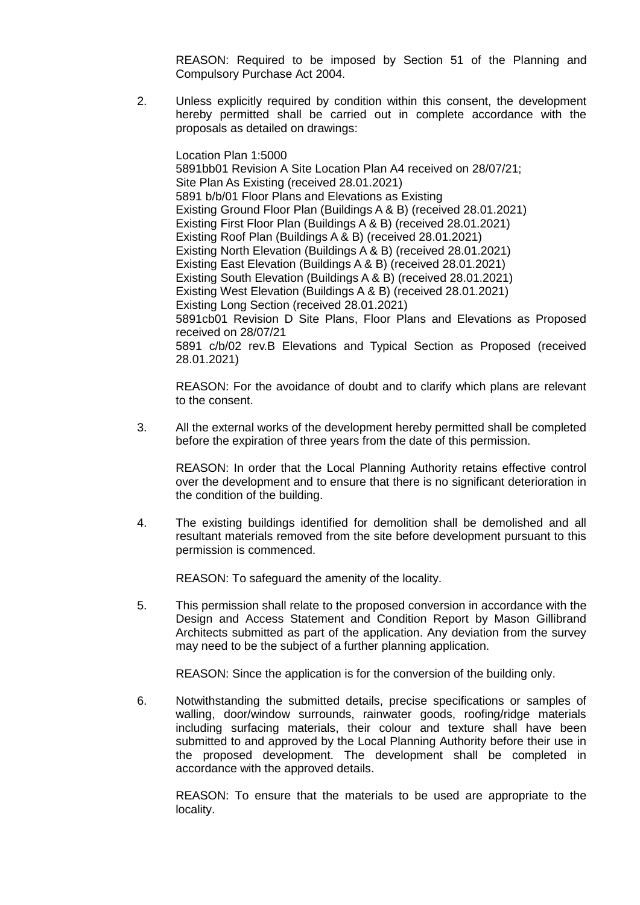REASON: Required to be imposed by Section 51 of the Planning and Compulsory Purchase Act 2004.

2. Unless explicitly required by condition within this consent, the development hereby permitted shall be carried out in complete accordance with the proposals as detailed on drawings:

Location Plan 1:5000 5891bb01 Revision A Site Location Plan A4 received on 28/07/21; Site Plan As Existing (received 28.01.2021) 5891 b/b/01 Floor Plans and Elevations as Existing Existing Ground Floor Plan (Buildings A & B) (received 28.01.2021) Existing First Floor Plan (Buildings A & B) (received 28.01.2021) Existing Roof Plan (Buildings A & B) (received 28.01.2021) Existing North Elevation (Buildings A & B) (received 28.01.2021) Existing East Elevation (Buildings A & B) (received 28.01.2021) Existing South Elevation (Buildings A & B) (received 28.01.2021) Existing West Elevation (Buildings A & B) (received 28.01.2021) Existing Long Section (received 28.01.2021) 5891cb01 Revision D Site Plans, Floor Plans and Elevations as Proposed received on 28/07/21 5891 c/b/02 rev.B Elevations and Typical Section as Proposed (received 28.01.2021)

REASON: For the avoidance of doubt and to clarify which plans are relevant to the consent.

3. All the external works of the development hereby permitted shall be completed before the expiration of three years from the date of this permission.

REASON: In order that the Local Planning Authority retains effective control over the development and to ensure that there is no significant deterioration in the condition of the building.

4. The existing buildings identified for demolition shall be demolished and all resultant materials removed from the site before development pursuant to this permission is commenced.

REASON: To safeguard the amenity of the locality.

5. This permission shall relate to the proposed conversion in accordance with the Design and Access Statement and Condition Report by Mason Gillibrand Architects submitted as part of the application. Any deviation from the survey may need to be the subject of a further planning application.

REASON: Since the application is for the conversion of the building only.

6. Notwithstanding the submitted details, precise specifications or samples of walling, door/window surrounds, rainwater goods, roofing/ridge materials including surfacing materials, their colour and texture shall have been submitted to and approved by the Local Planning Authority before their use in the proposed development. The development shall be completed in accordance with the approved details.

REASON: To ensure that the materials to be used are appropriate to the locality.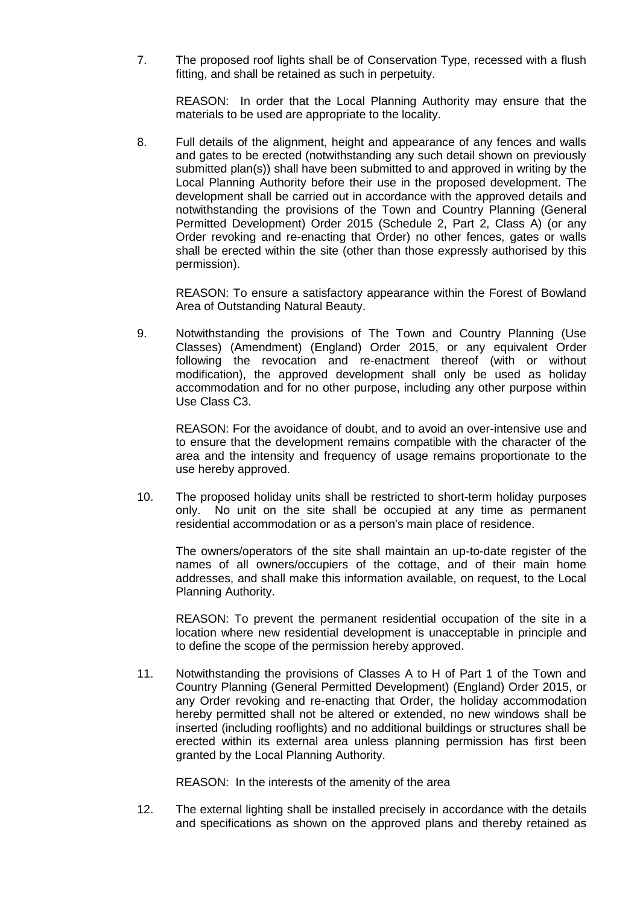7. The proposed roof lights shall be of Conservation Type, recessed with a flush fitting, and shall be retained as such in perpetuity.

REASON: In order that the Local Planning Authority may ensure that the materials to be used are appropriate to the locality.

8. Full details of the alignment, height and appearance of any fences and walls and gates to be erected (notwithstanding any such detail shown on previously submitted plan(s)) shall have been submitted to and approved in writing by the Local Planning Authority before their use in the proposed development. The development shall be carried out in accordance with the approved details and notwithstanding the provisions of the Town and Country Planning (General Permitted Development) Order 2015 (Schedule 2, Part 2, Class A) (or any Order revoking and re-enacting that Order) no other fences, gates or walls shall be erected within the site (other than those expressly authorised by this permission).

REASON: To ensure a satisfactory appearance within the Forest of Bowland Area of Outstanding Natural Beauty.

9. Notwithstanding the provisions of The Town and Country Planning (Use Classes) (Amendment) (England) Order 2015, or any equivalent Order following the revocation and re-enactment thereof (with or without modification), the approved development shall only be used as holiday accommodation and for no other purpose, including any other purpose within Use Class C3.

REASON: For the avoidance of doubt, and to avoid an over-intensive use and to ensure that the development remains compatible with the character of the area and the intensity and frequency of usage remains proportionate to the use hereby approved.

10. The proposed holiday units shall be restricted to short-term holiday purposes only. No unit on the site shall be occupied at any time as permanent residential accommodation or as a person's main place of residence.

The owners/operators of the site shall maintain an up-to-date register of the names of all owners/occupiers of the cottage, and of their main home addresses, and shall make this information available, on request, to the Local Planning Authority.

REASON: To prevent the permanent residential occupation of the site in a location where new residential development is unacceptable in principle and to define the scope of the permission hereby approved.

11. Notwithstanding the provisions of Classes A to H of Part 1 of the Town and Country Planning (General Permitted Development) (England) Order 2015, or any Order revoking and re-enacting that Order, the holiday accommodation hereby permitted shall not be altered or extended, no new windows shall be inserted (including rooflights) and no additional buildings or structures shall be erected within its external area unless planning permission has first been granted by the Local Planning Authority.

REASON: In the interests of the amenity of the area

12. The external lighting shall be installed precisely in accordance with the details and specifications as shown on the approved plans and thereby retained as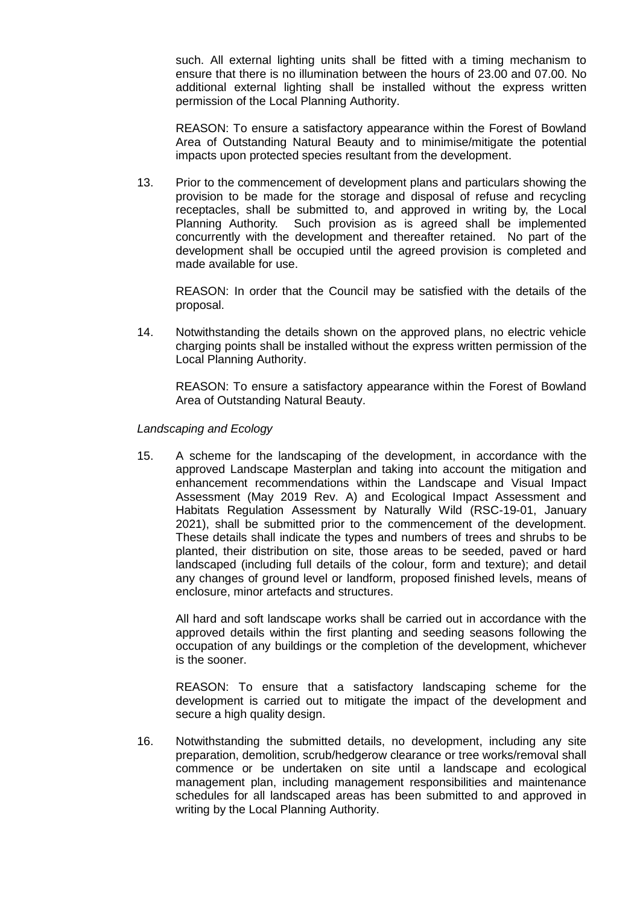such. All external lighting units shall be fitted with a timing mechanism to ensure that there is no illumination between the hours of 23.00 and 07.00. No additional external lighting shall be installed without the express written permission of the Local Planning Authority.

REASON: To ensure a satisfactory appearance within the Forest of Bowland Area of Outstanding Natural Beauty and to minimise/mitigate the potential impacts upon protected species resultant from the development.

13. Prior to the commencement of development plans and particulars showing the provision to be made for the storage and disposal of refuse and recycling receptacles, shall be submitted to, and approved in writing by, the Local Planning Authority. Such provision as is agreed shall be implemented concurrently with the development and thereafter retained. No part of the development shall be occupied until the agreed provision is completed and made available for use.

REASON: In order that the Council may be satisfied with the details of the proposal.

14. Notwithstanding the details shown on the approved plans, no electric vehicle charging points shall be installed without the express written permission of the Local Planning Authority.

REASON: To ensure a satisfactory appearance within the Forest of Bowland Area of Outstanding Natural Beauty.

*Landscaping and Ecology*

15. A scheme for the landscaping of the development, in accordance with the approved Landscape Masterplan and taking into account the mitigation and enhancement recommendations within the Landscape and Visual Impact Assessment (May 2019 Rev. A) and Ecological Impact Assessment and Habitats Regulation Assessment by Naturally Wild (RSC-19-01, January 2021), shall be submitted prior to the commencement of the development. These details shall indicate the types and numbers of trees and shrubs to be planted, their distribution on site, those areas to be seeded, paved or hard landscaped (including full details of the colour, form and texture); and detail any changes of ground level or landform, proposed finished levels, means of enclosure, minor artefacts and structures.

All hard and soft landscape works shall be carried out in accordance with the approved details within the first planting and seeding seasons following the occupation of any buildings or the completion of the development, whichever is the sooner.

REASON: To ensure that a satisfactory landscaping scheme for the development is carried out to mitigate the impact of the development and secure a high quality design.

16. Notwithstanding the submitted details, no development, including any site preparation, demolition, scrub/hedgerow clearance or tree works/removal shall commence or be undertaken on site until a landscape and ecological management plan, including management responsibilities and maintenance schedules for all landscaped areas has been submitted to and approved in writing by the Local Planning Authority.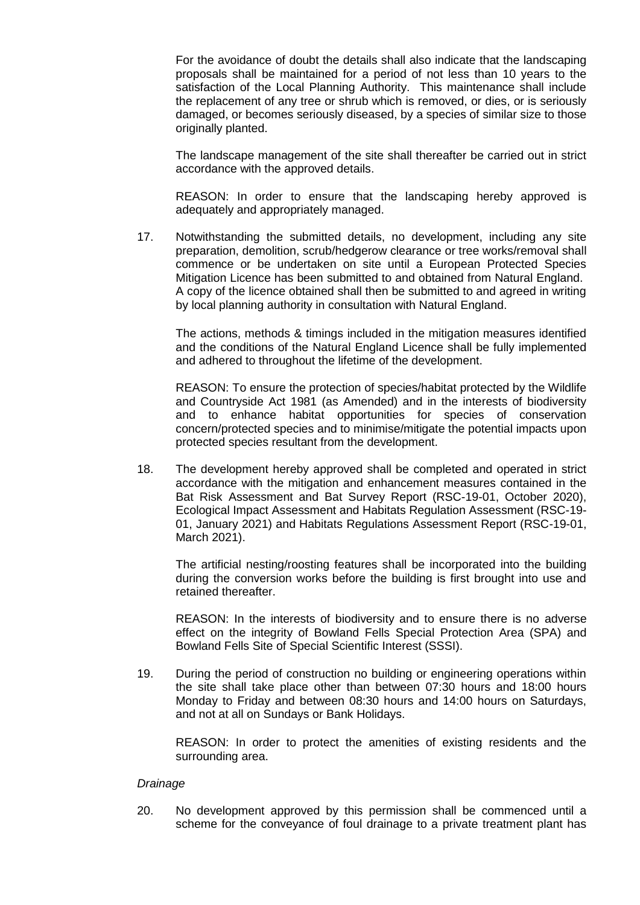For the avoidance of doubt the details shall also indicate that the landscaping proposals shall be maintained for a period of not less than 10 years to the satisfaction of the Local Planning Authority. This maintenance shall include the replacement of any tree or shrub which is removed, or dies, or is seriously damaged, or becomes seriously diseased, by a species of similar size to those originally planted.

The landscape management of the site shall thereafter be carried out in strict accordance with the approved details.

REASON: In order to ensure that the landscaping hereby approved is adequately and appropriately managed.

17. Notwithstanding the submitted details, no development, including any site preparation, demolition, scrub/hedgerow clearance or tree works/removal shall commence or be undertaken on site until a European Protected Species Mitigation Licence has been submitted to and obtained from Natural England. A copy of the licence obtained shall then be submitted to and agreed in writing by local planning authority in consultation with Natural England.

The actions, methods & timings included in the mitigation measures identified and the conditions of the Natural England Licence shall be fully implemented and adhered to throughout the lifetime of the development.

REASON: To ensure the protection of species/habitat protected by the Wildlife and Countryside Act 1981 (as Amended) and in the interests of biodiversity and to enhance habitat opportunities for species of conservation concern/protected species and to minimise/mitigate the potential impacts upon protected species resultant from the development.

18. The development hereby approved shall be completed and operated in strict accordance with the mitigation and enhancement measures contained in the Bat Risk Assessment and Bat Survey Report (RSC-19-01, October 2020), Ecological Impact Assessment and Habitats Regulation Assessment (RSC-19- 01, January 2021) and Habitats Regulations Assessment Report (RSC-19-01, March 2021).

The artificial nesting/roosting features shall be incorporated into the building during the conversion works before the building is first brought into use and retained thereafter.

REASON: In the interests of biodiversity and to ensure there is no adverse effect on the integrity of Bowland Fells Special Protection Area (SPA) and Bowland Fells Site of Special Scientific Interest (SSSI).

19. During the period of construction no building or engineering operations within the site shall take place other than between 07:30 hours and 18:00 hours Monday to Friday and between 08:30 hours and 14:00 hours on Saturdays, and not at all on Sundays or Bank Holidays.

REASON: In order to protect the amenities of existing residents and the surrounding area.

#### *Drainage*

20. No development approved by this permission shall be commenced until a scheme for the conveyance of foul drainage to a private treatment plant has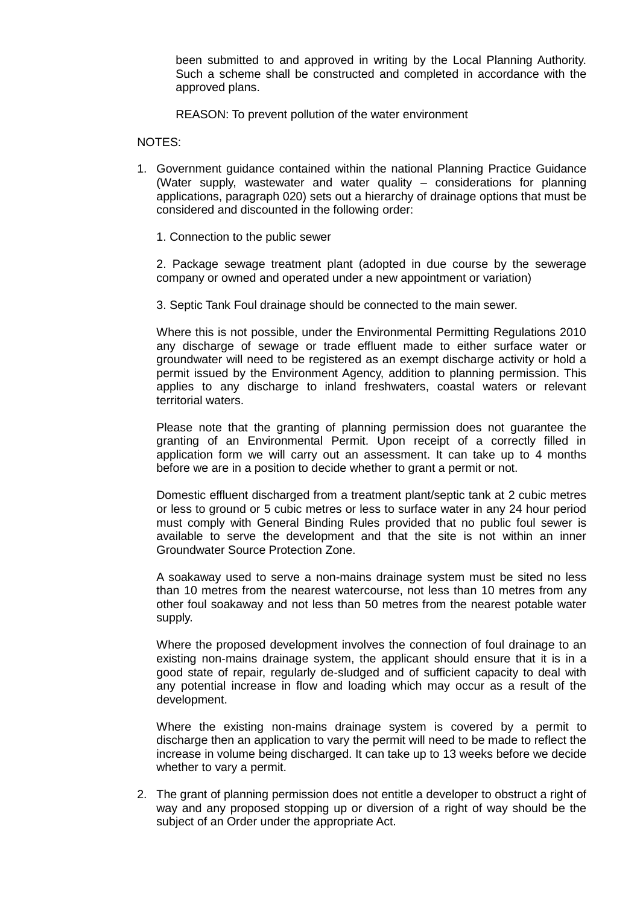been submitted to and approved in writing by the Local Planning Authority. Such a scheme shall be constructed and completed in accordance with the approved plans.

REASON: To prevent pollution of the water environment

NOTES:

- 1. Government guidance contained within the national Planning Practice Guidance (Water supply, wastewater and water quality – considerations for planning applications, paragraph 020) sets out a hierarchy of drainage options that must be considered and discounted in the following order:
	- 1. Connection to the public sewer

2. Package sewage treatment plant (adopted in due course by the sewerage company or owned and operated under a new appointment or variation)

3. Septic Tank Foul drainage should be connected to the main sewer.

Where this is not possible, under the Environmental Permitting Regulations 2010 any discharge of sewage or trade effluent made to either surface water or groundwater will need to be registered as an exempt discharge activity or hold a permit issued by the Environment Agency, addition to planning permission. This applies to any discharge to inland freshwaters, coastal waters or relevant territorial waters.

Please note that the granting of planning permission does not guarantee the granting of an Environmental Permit. Upon receipt of a correctly filled in application form we will carry out an assessment. It can take up to 4 months before we are in a position to decide whether to grant a permit or not.

Domestic effluent discharged from a treatment plant/septic tank at 2 cubic metres or less to ground or 5 cubic metres or less to surface water in any 24 hour period must comply with General Binding Rules provided that no public foul sewer is available to serve the development and that the site is not within an inner Groundwater Source Protection Zone.

A soakaway used to serve a non-mains drainage system must be sited no less than 10 metres from the nearest watercourse, not less than 10 metres from any other foul soakaway and not less than 50 metres from the nearest potable water supply.

Where the proposed development involves the connection of foul drainage to an existing non-mains drainage system, the applicant should ensure that it is in a good state of repair, regularly de-sludged and of sufficient capacity to deal with any potential increase in flow and loading which may occur as a result of the development.

Where the existing non-mains drainage system is covered by a permit to discharge then an application to vary the permit will need to be made to reflect the increase in volume being discharged. It can take up to 13 weeks before we decide whether to vary a permit.

2. The grant of planning permission does not entitle a developer to obstruct a right of way and any proposed stopping up or diversion of a right of way should be the subject of an Order under the appropriate Act.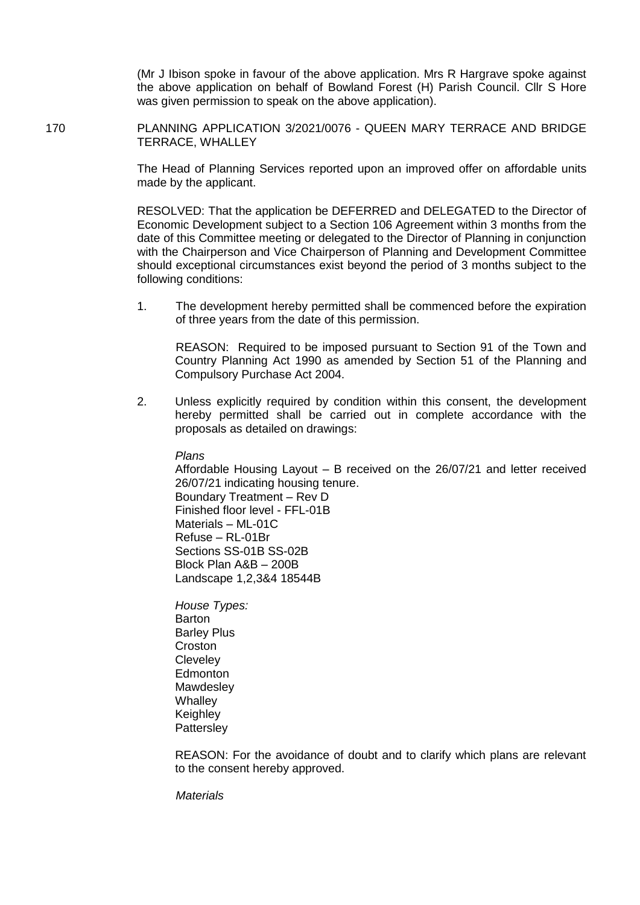(Mr J Ibison spoke in favour of the above application. Mrs R Hargrave spoke against the above application on behalf of Bowland Forest (H) Parish Council. Cllr S Hore was given permission to speak on the above application).

170 PLANNING APPLICATION 3/2021/0076 - QUEEN MARY TERRACE AND BRIDGE TERRACE, WHALLEY

> The Head of Planning Services reported upon an improved offer on affordable units made by the applicant.

> RESOLVED: That the application be DEFERRED and DELEGATED to the Director of Economic Development subject to a Section 106 Agreement within 3 months from the date of this Committee meeting or delegated to the Director of Planning in conjunction with the Chairperson and Vice Chairperson of Planning and Development Committee should exceptional circumstances exist beyond the period of 3 months subject to the following conditions:

> 1. The development hereby permitted shall be commenced before the expiration of three years from the date of this permission.

REASON: Required to be imposed pursuant to Section 91 of the Town and Country Planning Act 1990 as amended by Section 51 of the Planning and Compulsory Purchase Act 2004.

2. Unless explicitly required by condition within this consent, the development hereby permitted shall be carried out in complete accordance with the proposals as detailed on drawings:

*Plans*

Affordable Housing Layout – B received on the 26/07/21 and letter received 26/07/21 indicating housing tenure.

Boundary Treatment – Rev D Finished floor level - FFL-01B Materials – ML-01C Refuse – RL-01Br Sections SS-01B SS-02B Block Plan A&B – 200B Landscape 1,2,3&4 18544B

*House Types:* **Barton** Barley Plus **Croston Clevelev Edmonton Mawdesley Whalley Keighley Pattersley** 

REASON: For the avoidance of doubt and to clarify which plans are relevant to the consent hereby approved.

*Materials*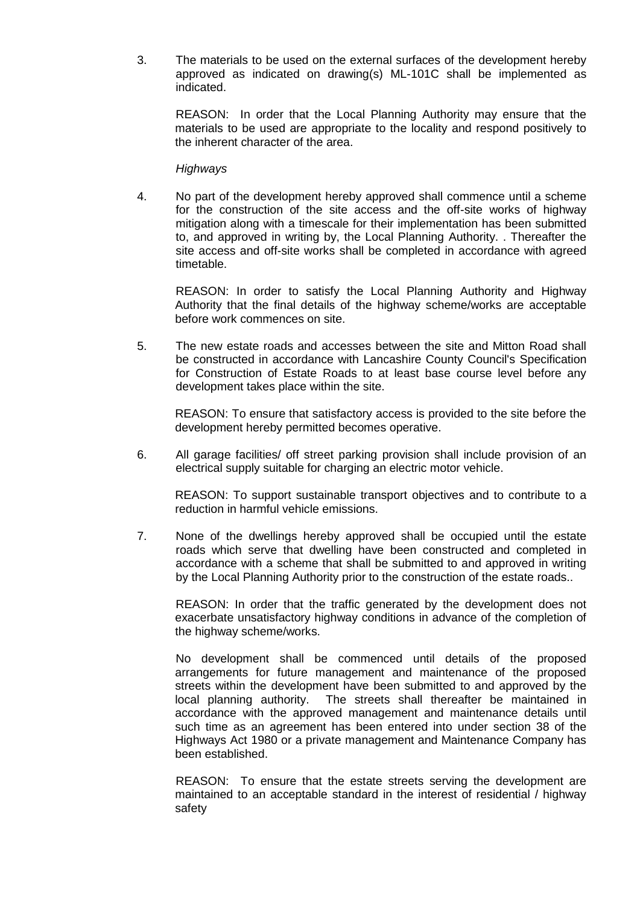3. The materials to be used on the external surfaces of the development hereby approved as indicated on drawing(s) ML-101C shall be implemented as indicated.

REASON: In order that the Local Planning Authority may ensure that the materials to be used are appropriate to the locality and respond positively to the inherent character of the area.

#### *Highways*

4. No part of the development hereby approved shall commence until a scheme for the construction of the site access and the off-site works of highway mitigation along with a timescale for their implementation has been submitted to, and approved in writing by, the Local Planning Authority. . Thereafter the site access and off-site works shall be completed in accordance with agreed timetable.

REASON: In order to satisfy the Local Planning Authority and Highway Authority that the final details of the highway scheme/works are acceptable before work commences on site.

5. The new estate roads and accesses between the site and Mitton Road shall be constructed in accordance with Lancashire County Council's Specification for Construction of Estate Roads to at least base course level before any development takes place within the site.

REASON: To ensure that satisfactory access is provided to the site before the development hereby permitted becomes operative.

6. All garage facilities/ off street parking provision shall include provision of an electrical supply suitable for charging an electric motor vehicle.

REASON: To support sustainable transport objectives and to contribute to a reduction in harmful vehicle emissions.

7. None of the dwellings hereby approved shall be occupied until the estate roads which serve that dwelling have been constructed and completed in accordance with a scheme that shall be submitted to and approved in writing by the Local Planning Authority prior to the construction of the estate roads..

REASON: In order that the traffic generated by the development does not exacerbate unsatisfactory highway conditions in advance of the completion of the highway scheme/works.

No development shall be commenced until details of the proposed arrangements for future management and maintenance of the proposed streets within the development have been submitted to and approved by the local planning authority. The streets shall thereafter be maintained in accordance with the approved management and maintenance details until such time as an agreement has been entered into under section 38 of the Highways Act 1980 or a private management and Maintenance Company has been established.

REASON: To ensure that the estate streets serving the development are maintained to an acceptable standard in the interest of residential / highway safety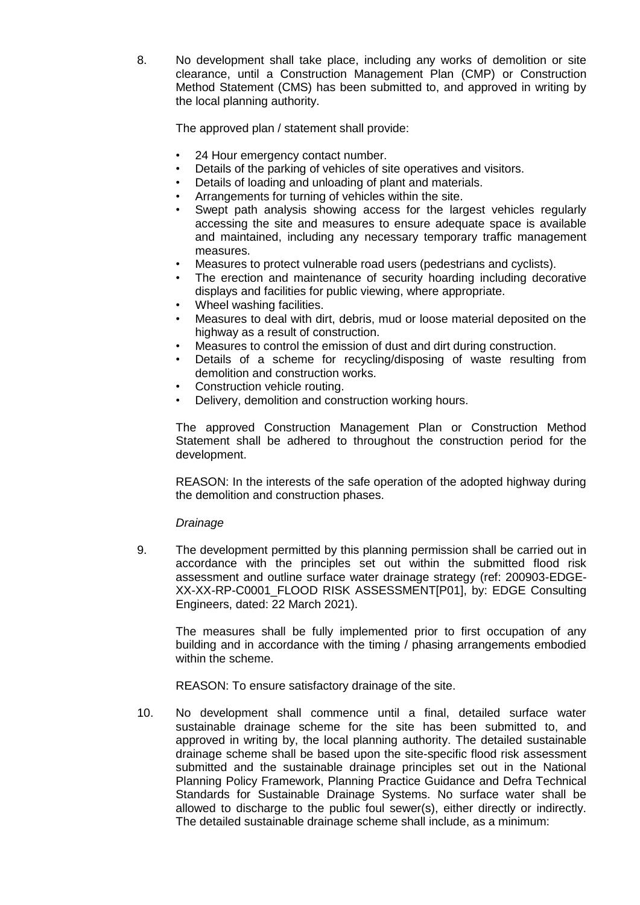8. No development shall take place, including any works of demolition or site clearance, until a Construction Management Plan (CMP) or Construction Method Statement (CMS) has been submitted to, and approved in writing by the local planning authority.

The approved plan / statement shall provide:

- 24 Hour emergency contact number.
- Details of the parking of vehicles of site operatives and visitors.
- Details of loading and unloading of plant and materials.
- Arrangements for turning of vehicles within the site.
- Swept path analysis showing access for the largest vehicles regularly accessing the site and measures to ensure adequate space is available and maintained, including any necessary temporary traffic management measures.
- Measures to protect vulnerable road users (pedestrians and cyclists).
- The erection and maintenance of security hoarding including decorative displays and facilities for public viewing, where appropriate.
- Wheel washing facilities.
- Measures to deal with dirt, debris, mud or loose material deposited on the highway as a result of construction.
- Measures to control the emission of dust and dirt during construction.
- Details of a scheme for recycling/disposing of waste resulting from demolition and construction works.
- Construction vehicle routing.
- Delivery, demolition and construction working hours.

The approved Construction Management Plan or Construction Method Statement shall be adhered to throughout the construction period for the development.

REASON: In the interests of the safe operation of the adopted highway during the demolition and construction phases.

#### *Drainage*

9. The development permitted by this planning permission shall be carried out in accordance with the principles set out within the submitted flood risk assessment and outline surface water drainage strategy (ref: 200903-EDGE-XX-XX-RP-C0001\_FLOOD RISK ASSESSMENT[P01], by: EDGE Consulting Engineers, dated: 22 March 2021).

The measures shall be fully implemented prior to first occupation of any building and in accordance with the timing / phasing arrangements embodied within the scheme.

REASON: To ensure satisfactory drainage of the site.

10. No development shall commence until a final, detailed surface water sustainable drainage scheme for the site has been submitted to, and approved in writing by, the local planning authority. The detailed sustainable drainage scheme shall be based upon the site-specific flood risk assessment submitted and the sustainable drainage principles set out in the National Planning Policy Framework, Planning Practice Guidance and Defra Technical Standards for Sustainable Drainage Systems. No surface water shall be allowed to discharge to the public foul sewer(s), either directly or indirectly. The detailed sustainable drainage scheme shall include, as a minimum: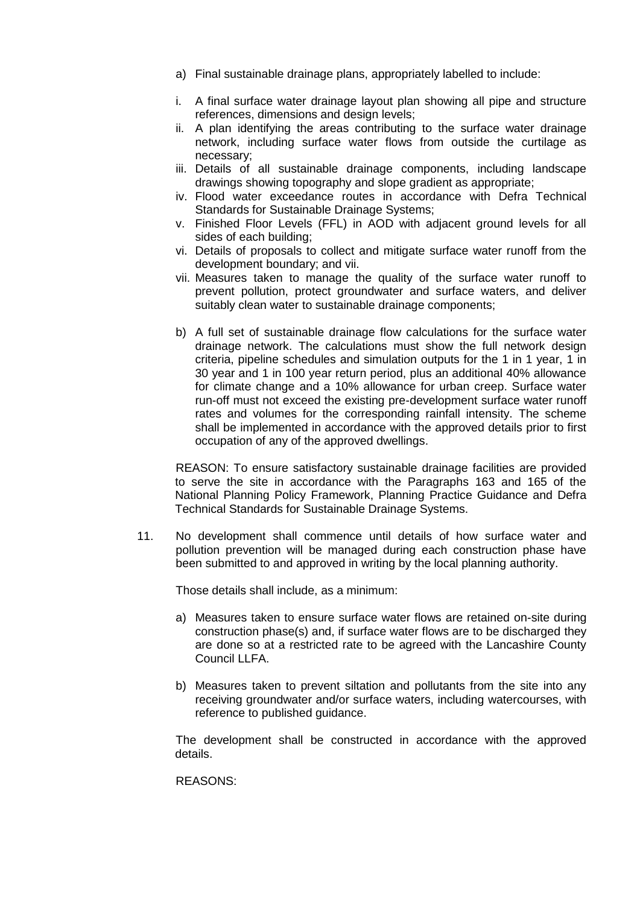- a) Final sustainable drainage plans, appropriately labelled to include:
- i. A final surface water drainage layout plan showing all pipe and structure references, dimensions and design levels;
- ii. A plan identifying the areas contributing to the surface water drainage network, including surface water flows from outside the curtilage as necessary;
- iii. Details of all sustainable drainage components, including landscape drawings showing topography and slope gradient as appropriate;
- iv. Flood water exceedance routes in accordance with Defra Technical Standards for Sustainable Drainage Systems;
- v. Finished Floor Levels (FFL) in AOD with adjacent ground levels for all sides of each building;
- vi. Details of proposals to collect and mitigate surface water runoff from the development boundary; and vii.
- vii. Measures taken to manage the quality of the surface water runoff to prevent pollution, protect groundwater and surface waters, and deliver suitably clean water to sustainable drainage components;
- b) A full set of sustainable drainage flow calculations for the surface water drainage network. The calculations must show the full network design criteria, pipeline schedules and simulation outputs for the 1 in 1 year, 1 in 30 year and 1 in 100 year return period, plus an additional 40% allowance for climate change and a 10% allowance for urban creep. Surface water run-off must not exceed the existing pre-development surface water runoff rates and volumes for the corresponding rainfall intensity. The scheme shall be implemented in accordance with the approved details prior to first occupation of any of the approved dwellings.

REASON: To ensure satisfactory sustainable drainage facilities are provided to serve the site in accordance with the Paragraphs 163 and 165 of the National Planning Policy Framework, Planning Practice Guidance and Defra Technical Standards for Sustainable Drainage Systems.

11. No development shall commence until details of how surface water and pollution prevention will be managed during each construction phase have been submitted to and approved in writing by the local planning authority.

Those details shall include, as a minimum:

- a) Measures taken to ensure surface water flows are retained on-site during construction phase(s) and, if surface water flows are to be discharged they are done so at a restricted rate to be agreed with the Lancashire County Council LLFA.
- b) Measures taken to prevent siltation and pollutants from the site into any receiving groundwater and/or surface waters, including watercourses, with reference to published guidance.

The development shall be constructed in accordance with the approved details.

REASONS: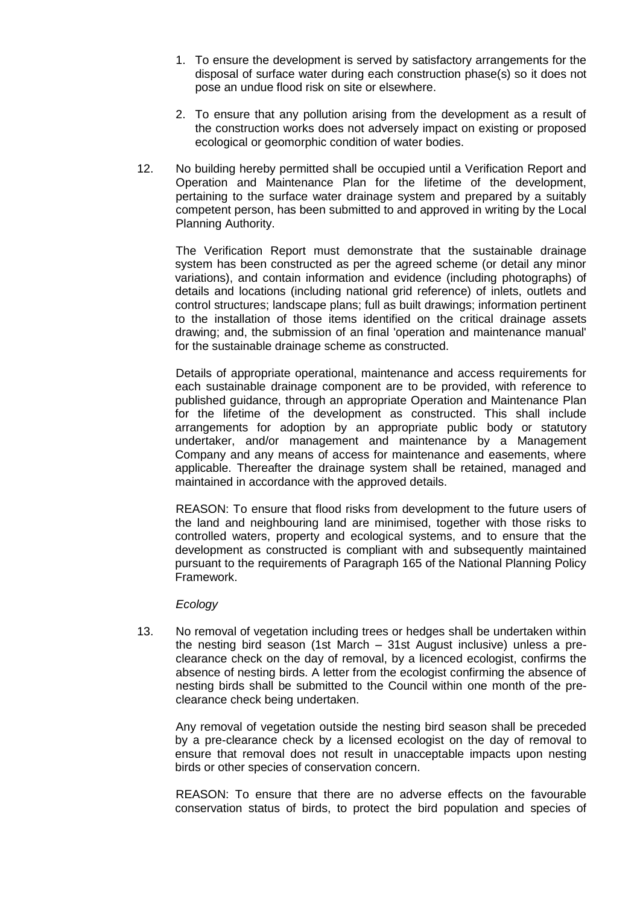- 1. To ensure the development is served by satisfactory arrangements for the disposal of surface water during each construction phase(s) so it does not pose an undue flood risk on site or elsewhere.
- 2. To ensure that any pollution arising from the development as a result of the construction works does not adversely impact on existing or proposed ecological or geomorphic condition of water bodies.
- 12. No building hereby permitted shall be occupied until a Verification Report and Operation and Maintenance Plan for the lifetime of the development, pertaining to the surface water drainage system and prepared by a suitably competent person, has been submitted to and approved in writing by the Local Planning Authority.

The Verification Report must demonstrate that the sustainable drainage system has been constructed as per the agreed scheme (or detail any minor variations), and contain information and evidence (including photographs) of details and locations (including national grid reference) of inlets, outlets and control structures; landscape plans; full as built drawings; information pertinent to the installation of those items identified on the critical drainage assets drawing; and, the submission of an final 'operation and maintenance manual' for the sustainable drainage scheme as constructed.

Details of appropriate operational, maintenance and access requirements for each sustainable drainage component are to be provided, with reference to published guidance, through an appropriate Operation and Maintenance Plan for the lifetime of the development as constructed. This shall include arrangements for adoption by an appropriate public body or statutory undertaker, and/or management and maintenance by a Management Company and any means of access for maintenance and easements, where applicable. Thereafter the drainage system shall be retained, managed and maintained in accordance with the approved details.

REASON: To ensure that flood risks from development to the future users of the land and neighbouring land are minimised, together with those risks to controlled waters, property and ecological systems, and to ensure that the development as constructed is compliant with and subsequently maintained pursuant to the requirements of Paragraph 165 of the National Planning Policy Framework.

#### *Ecology*

13. No removal of vegetation including trees or hedges shall be undertaken within the nesting bird season (1st March – 31st August inclusive) unless a preclearance check on the day of removal, by a licenced ecologist, confirms the absence of nesting birds. A letter from the ecologist confirming the absence of nesting birds shall be submitted to the Council within one month of the preclearance check being undertaken.

Any removal of vegetation outside the nesting bird season shall be preceded by a pre-clearance check by a licensed ecologist on the day of removal to ensure that removal does not result in unacceptable impacts upon nesting birds or other species of conservation concern.

REASON: To ensure that there are no adverse effects on the favourable conservation status of birds, to protect the bird population and species of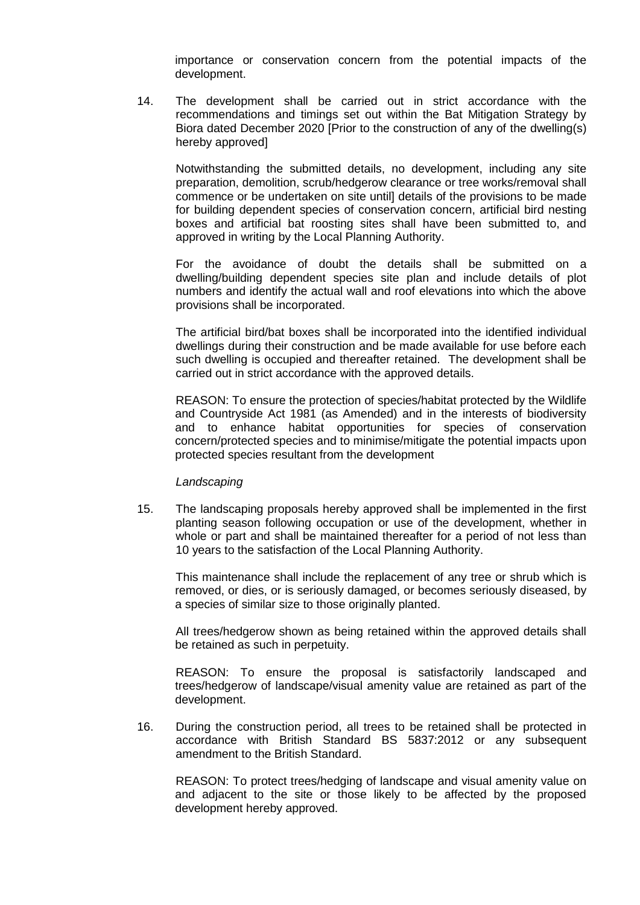importance or conservation concern from the potential impacts of the development.

14. The development shall be carried out in strict accordance with the recommendations and timings set out within the Bat Mitigation Strategy by Biora dated December 2020 [Prior to the construction of any of the dwelling(s) hereby approved]

Notwithstanding the submitted details, no development, including any site preparation, demolition, scrub/hedgerow clearance or tree works/removal shall commence or be undertaken on site until] details of the provisions to be made for building dependent species of conservation concern, artificial bird nesting boxes and artificial bat roosting sites shall have been submitted to, and approved in writing by the Local Planning Authority.

For the avoidance of doubt the details shall be submitted on a dwelling/building dependent species site plan and include details of plot numbers and identify the actual wall and roof elevations into which the above provisions shall be incorporated.

The artificial bird/bat boxes shall be incorporated into the identified individual dwellings during their construction and be made available for use before each such dwelling is occupied and thereafter retained. The development shall be carried out in strict accordance with the approved details.

REASON: To ensure the protection of species/habitat protected by the Wildlife and Countryside Act 1981 (as Amended) and in the interests of biodiversity and to enhance habitat opportunities for species of conservation concern/protected species and to minimise/mitigate the potential impacts upon protected species resultant from the development

#### *Landscaping*

15. The landscaping proposals hereby approved shall be implemented in the first planting season following occupation or use of the development, whether in whole or part and shall be maintained thereafter for a period of not less than 10 years to the satisfaction of the Local Planning Authority.

This maintenance shall include the replacement of any tree or shrub which is removed, or dies, or is seriously damaged, or becomes seriously diseased, by a species of similar size to those originally planted.

All trees/hedgerow shown as being retained within the approved details shall be retained as such in perpetuity.

REASON: To ensure the proposal is satisfactorily landscaped and trees/hedgerow of landscape/visual amenity value are retained as part of the development.

16. During the construction period, all trees to be retained shall be protected in accordance with British Standard BS 5837:2012 or any subsequent amendment to the British Standard.

REASON: To protect trees/hedging of landscape and visual amenity value on and adjacent to the site or those likely to be affected by the proposed development hereby approved.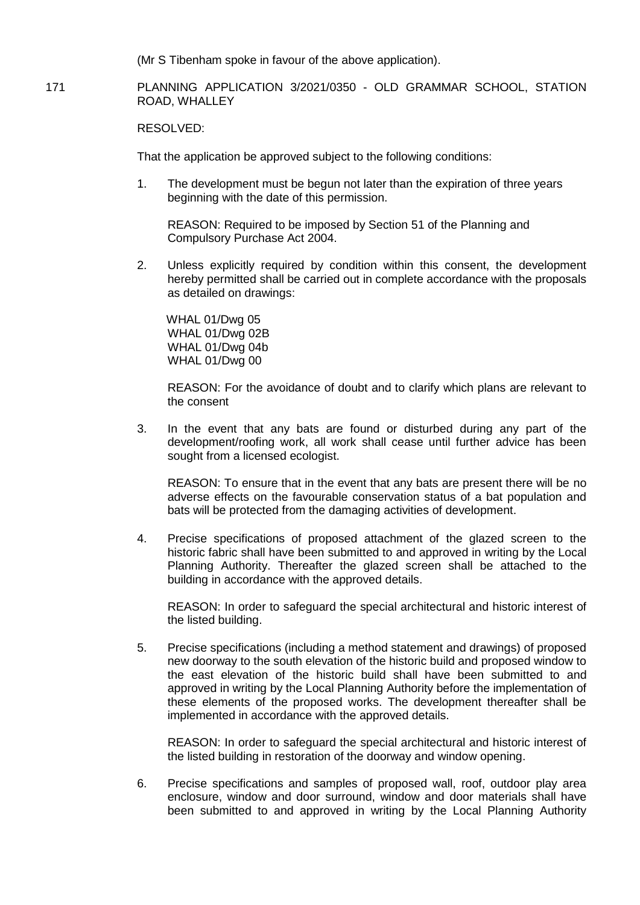(Mr S Tibenham spoke in favour of the above application).

#### 171 PLANNING APPLICATION 3/2021/0350 - OLD GRAMMAR SCHOOL, STATION ROAD, WHALLEY

RESOLVED:

That the application be approved subject to the following conditions:

1. The development must be begun not later than the expiration of three years beginning with the date of this permission.

REASON: Required to be imposed by Section 51 of the Planning and Compulsory Purchase Act 2004.

2. Unless explicitly required by condition within this consent, the development hereby permitted shall be carried out in complete accordance with the proposals as detailed on drawings:

 WHAL 01/Dwg 05 WHAL 01/Dwg 02B WHAL 01/Dwg 04b WHAL 01/Dwg 00

REASON: For the avoidance of doubt and to clarify which plans are relevant to the consent

3. In the event that any bats are found or disturbed during any part of the development/roofing work, all work shall cease until further advice has been sought from a licensed ecologist.

REASON: To ensure that in the event that any bats are present there will be no adverse effects on the favourable conservation status of a bat population and bats will be protected from the damaging activities of development.

4. Precise specifications of proposed attachment of the glazed screen to the historic fabric shall have been submitted to and approved in writing by the Local Planning Authority. Thereafter the glazed screen shall be attached to the building in accordance with the approved details.

REASON: In order to safeguard the special architectural and historic interest of the listed building.

5. Precise specifications (including a method statement and drawings) of proposed new doorway to the south elevation of the historic build and proposed window to the east elevation of the historic build shall have been submitted to and approved in writing by the Local Planning Authority before the implementation of these elements of the proposed works. The development thereafter shall be implemented in accordance with the approved details.

REASON: In order to safeguard the special architectural and historic interest of the listed building in restoration of the doorway and window opening.

6. Precise specifications and samples of proposed wall, roof, outdoor play area enclosure, window and door surround, window and door materials shall have been submitted to and approved in writing by the Local Planning Authority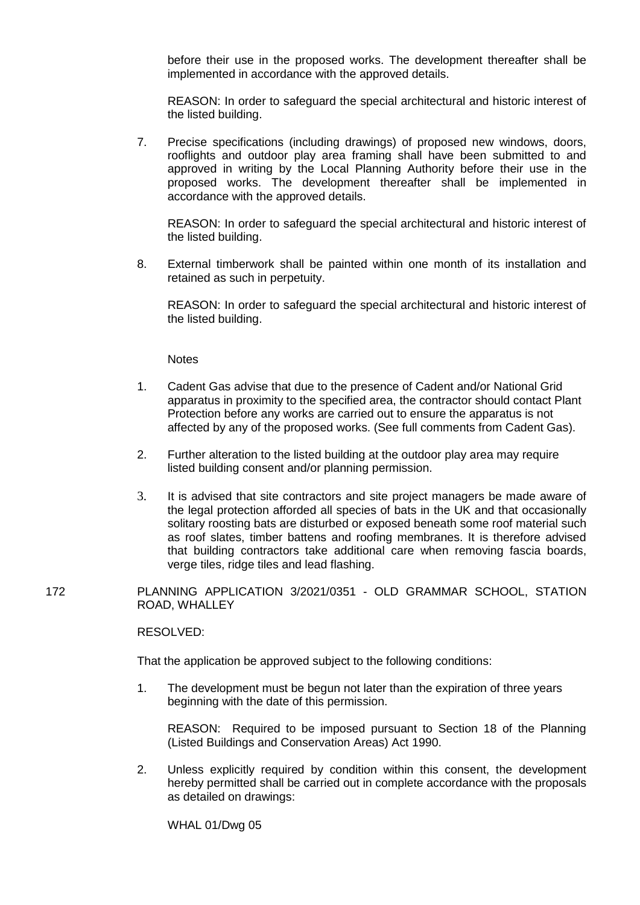before their use in the proposed works. The development thereafter shall be implemented in accordance with the approved details.

REASON: In order to safeguard the special architectural and historic interest of the listed building.

7. Precise specifications (including drawings) of proposed new windows, doors, rooflights and outdoor play area framing shall have been submitted to and approved in writing by the Local Planning Authority before their use in the proposed works. The development thereafter shall be implemented in accordance with the approved details.

REASON: In order to safeguard the special architectural and historic interest of the listed building.

8. External timberwork shall be painted within one month of its installation and retained as such in perpetuity.

REASON: In order to safeguard the special architectural and historic interest of the listed building.

**Notes** 

- 1. Cadent Gas advise that due to the presence of Cadent and/or National Grid apparatus in proximity to the specified area, the contractor should contact Plant Protection before any works are carried out to ensure the apparatus is not affected by any of the proposed works. (See full comments from Cadent Gas).
- 2. Further alteration to the listed building at the outdoor play area may require listed building consent and/or planning permission.
- 3. It is advised that site contractors and site project managers be made aware of the legal protection afforded all species of bats in the UK and that occasionally solitary roosting bats are disturbed or exposed beneath some roof material such as roof slates, timber battens and roofing membranes. It is therefore advised that building contractors take additional care when removing fascia boards, verge tiles, ridge tiles and lead flashing.
- 172 PLANNING APPLICATION 3/2021/0351 OLD GRAMMAR SCHOOL, STATION ROAD, WHALLEY

RESOLVED:

That the application be approved subject to the following conditions:

1. The development must be begun not later than the expiration of three years beginning with the date of this permission.

REASON: Required to be imposed pursuant to Section 18 of the Planning (Listed Buildings and Conservation Areas) Act 1990.

2. Unless explicitly required by condition within this consent, the development hereby permitted shall be carried out in complete accordance with the proposals as detailed on drawings:

WHAL 01/Dwg 05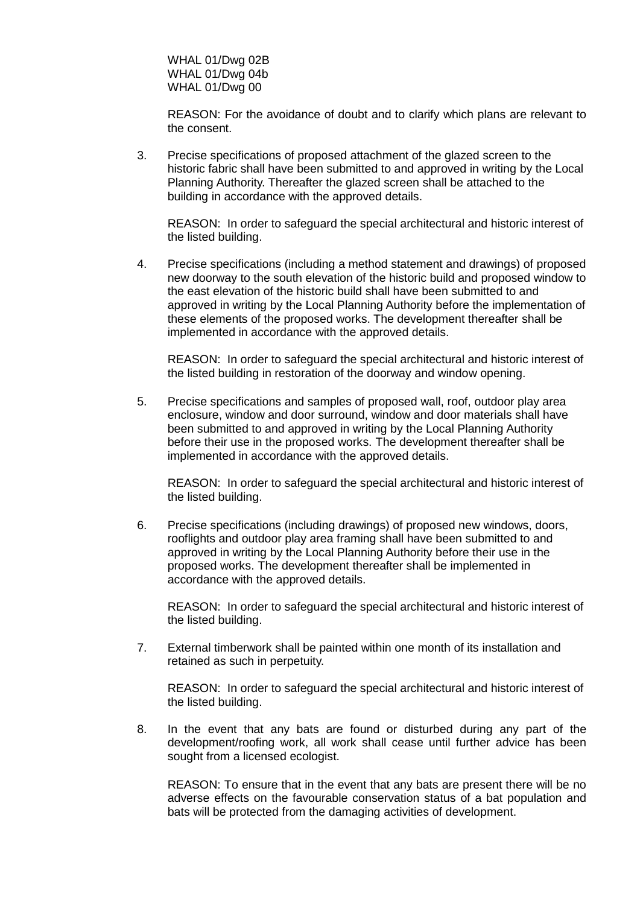WHAL 01/Dwg 02B WHAL 01/Dwg 04b WHAL 01/Dwg 00

REASON: For the avoidance of doubt and to clarify which plans are relevant to the consent.

3. Precise specifications of proposed attachment of the glazed screen to the historic fabric shall have been submitted to and approved in writing by the Local Planning Authority. Thereafter the glazed screen shall be attached to the building in accordance with the approved details.

REASON: In order to safeguard the special architectural and historic interest of the listed building.

4. Precise specifications (including a method statement and drawings) of proposed new doorway to the south elevation of the historic build and proposed window to the east elevation of the historic build shall have been submitted to and approved in writing by the Local Planning Authority before the implementation of these elements of the proposed works. The development thereafter shall be implemented in accordance with the approved details.

REASON: In order to safeguard the special architectural and historic interest of the listed building in restoration of the doorway and window opening.

5. Precise specifications and samples of proposed wall, roof, outdoor play area enclosure, window and door surround, window and door materials shall have been submitted to and approved in writing by the Local Planning Authority before their use in the proposed works. The development thereafter shall be implemented in accordance with the approved details.

REASON: In order to safeguard the special architectural and historic interest of the listed building.

6. Precise specifications (including drawings) of proposed new windows, doors, rooflights and outdoor play area framing shall have been submitted to and approved in writing by the Local Planning Authority before their use in the proposed works. The development thereafter shall be implemented in accordance with the approved details.

REASON: In order to safeguard the special architectural and historic interest of the listed building.

7. External timberwork shall be painted within one month of its installation and retained as such in perpetuity.

REASON: In order to safeguard the special architectural and historic interest of the listed building.

8. In the event that any bats are found or disturbed during any part of the development/roofing work, all work shall cease until further advice has been sought from a licensed ecologist.

REASON: To ensure that in the event that any bats are present there will be no adverse effects on the favourable conservation status of a bat population and bats will be protected from the damaging activities of development.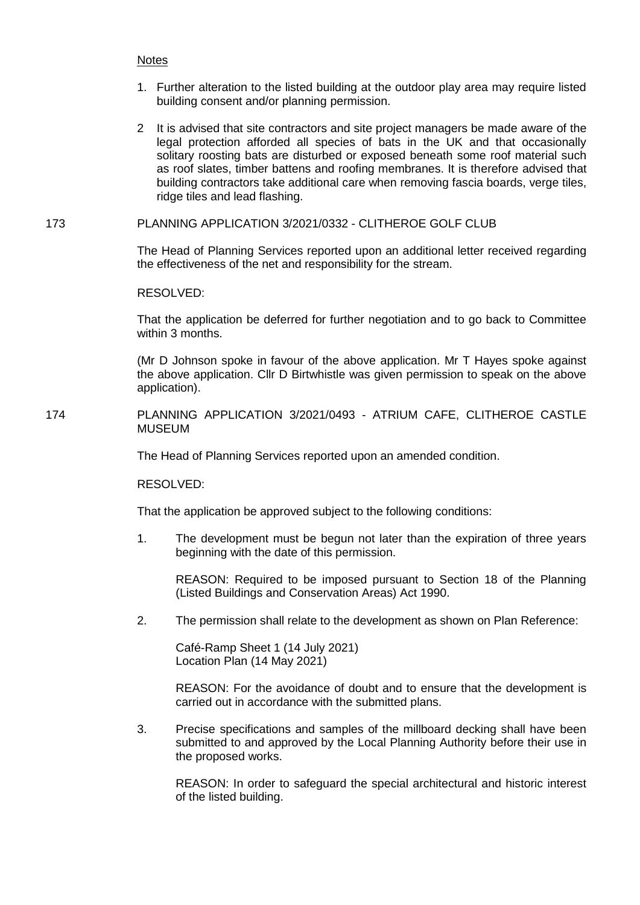## **Notes**

- 1. Further alteration to the listed building at the outdoor play area may require listed building consent and/or planning permission.
- 2 It is advised that site contractors and site project managers be made aware of the legal protection afforded all species of bats in the UK and that occasionally solitary roosting bats are disturbed or exposed beneath some roof material such as roof slates, timber battens and roofing membranes. It is therefore advised that building contractors take additional care when removing fascia boards, verge tiles, ridge tiles and lead flashing.

## 173 PLANNING APPLICATION 3/2021/0332 - CLITHEROE GOLF CLUB

The Head of Planning Services reported upon an additional letter received regarding the effectiveness of the net and responsibility for the stream.

RESOLVED:

That the application be deferred for further negotiation and to go back to Committee within 3 months.

(Mr D Johnson spoke in favour of the above application. Mr T Hayes spoke against the above application. Cllr D Birtwhistle was given permission to speak on the above application).

174 PLANNING APPLICATION 3/2021/0493 - ATRIUM CAFE, CLITHEROE CASTLE MUSEUM

The Head of Planning Services reported upon an amended condition.

RESOLVED:

That the application be approved subject to the following conditions:

1. The development must be begun not later than the expiration of three years beginning with the date of this permission.

REASON: Required to be imposed pursuant to Section 18 of the Planning (Listed Buildings and Conservation Areas) Act 1990.

2. The permission shall relate to the development as shown on Plan Reference:

Café-Ramp Sheet 1 (14 July 2021) Location Plan (14 May 2021)

REASON: For the avoidance of doubt and to ensure that the development is carried out in accordance with the submitted plans.

3. Precise specifications and samples of the millboard decking shall have been submitted to and approved by the Local Planning Authority before their use in the proposed works.

REASON: In order to safeguard the special architectural and historic interest of the listed building.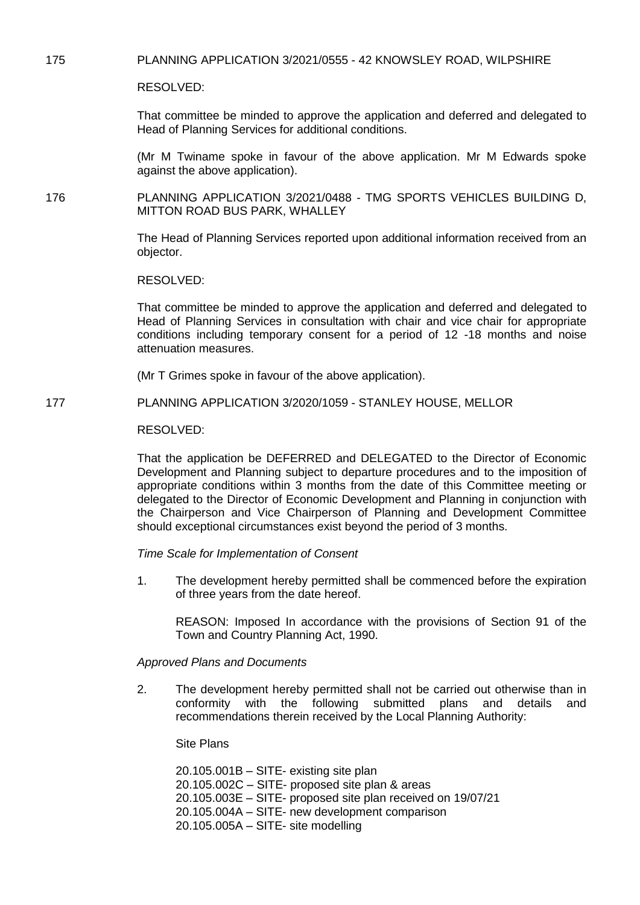175 PLANNING APPLICATION 3/2021/0555 - 42 KNOWSLEY ROAD, WILPSHIRE

RESOLVED:

That committee be minded to approve the application and deferred and delegated to Head of Planning Services for additional conditions.

(Mr M Twiname spoke in favour of the above application. Mr M Edwards spoke against the above application).

176 PLANNING APPLICATION 3/2021/0488 - TMG SPORTS VEHICLES BUILDING D, MITTON ROAD BUS PARK, WHALLEY

> The Head of Planning Services reported upon additional information received from an objector.

RESOLVED:

That committee be minded to approve the application and deferred and delegated to Head of Planning Services in consultation with chair and vice chair for appropriate conditions including temporary consent for a period of 12 -18 months and noise attenuation measures.

(Mr T Grimes spoke in favour of the above application).

177 PLANNING APPLICATION 3/2020/1059 - STANLEY HOUSE, MELLOR

RESOLVED:

That the application be DEFERRED and DELEGATED to the Director of Economic Development and Planning subject to departure procedures and to the imposition of appropriate conditions within 3 months from the date of this Committee meeting or delegated to the Director of Economic Development and Planning in conjunction with the Chairperson and Vice Chairperson of Planning and Development Committee should exceptional circumstances exist beyond the period of 3 months.

*Time Scale for Implementation of Consent* 

1. The development hereby permitted shall be commenced before the expiration of three years from the date hereof.

REASON: Imposed In accordance with the provisions of Section 91 of the Town and Country Planning Act, 1990.

*Approved Plans and Documents* 

2. The development hereby permitted shall not be carried out otherwise than in conformity with the following submitted plans and details and recommendations therein received by the Local Planning Authority:

Site Plans

20.105.001B – SITE- existing site plan 20.105.002C – SITE- proposed site plan & areas 20.105.003E – SITE- proposed site plan received on 19/07/21 20.105.004A – SITE- new development comparison 20.105.005A – SITE- site modelling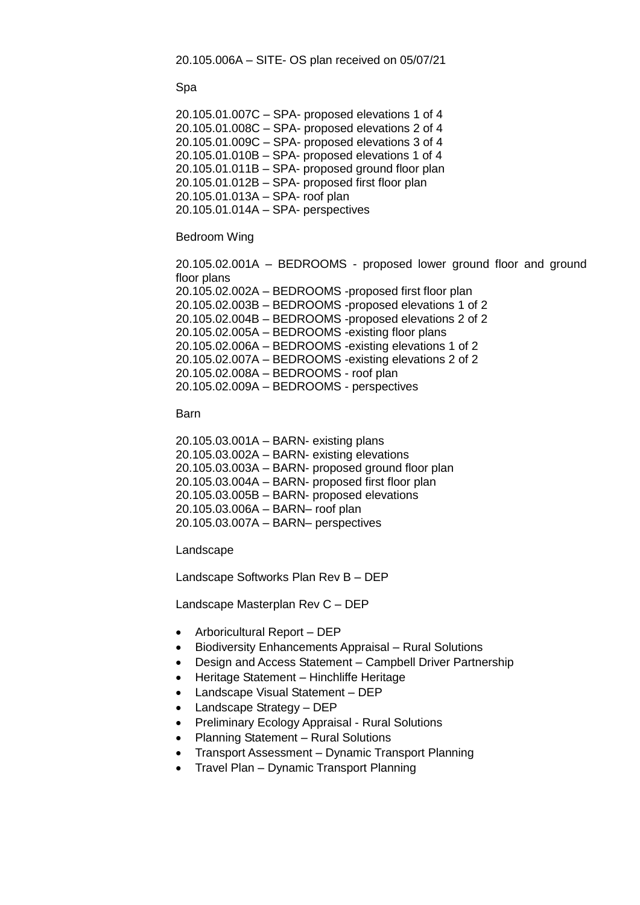20.105.006A – SITE- OS plan received on 05/07/21

Spa

20.105.01.007C – SPA- proposed elevations 1 of 4 20.105.01.008C – SPA- proposed elevations 2 of 4 20.105.01.009C – SPA- proposed elevations 3 of 4 20.105.01.010B – SPA- proposed elevations 1 of 4 20.105.01.011B – SPA- proposed ground floor plan 20.105.01.012B – SPA- proposed first floor plan 20.105.01.013A – SPA- roof plan 20.105.01.014A – SPA- perspectives

#### Bedroom Wing

20.105.02.001A – BEDROOMS - proposed lower ground floor and ground floor plans 20.105.02.002A – BEDROOMS -proposed first floor plan 20.105.02.003B – BEDROOMS -proposed elevations 1 of 2 20.105.02.004B – BEDROOMS -proposed elevations 2 of 2 20.105.02.005A – BEDROOMS -existing floor plans 20.105.02.006A – BEDROOMS -existing elevations 1 of 2 20.105.02.007A – BEDROOMS -existing elevations 2 of 2 20.105.02.008A – BEDROOMS - roof plan 20.105.02.009A – BEDROOMS - perspectives

#### Barn

20.105.03.001A – BARN- existing plans 20.105.03.002A – BARN- existing elevations 20.105.03.003A – BARN- proposed ground floor plan 20.105.03.004A – BARN- proposed first floor plan 20.105.03.005B – BARN- proposed elevations 20.105.03.006A – BARN– roof plan 20.105.03.007A – BARN– perspectives

Landscape

Landscape Softworks Plan Rev B – DEP

Landscape Masterplan Rev C – DEP

- Arboricultural Report DEP
- Biodiversity Enhancements Appraisal Rural Solutions
- Design and Access Statement Campbell Driver Partnership
- Heritage Statement Hinchliffe Heritage
- Landscape Visual Statement DEP
- Landscape Strategy DEP
- Preliminary Ecology Appraisal Rural Solutions
- Planning Statement Rural Solutions
- Transport Assessment Dynamic Transport Planning
- Travel Plan Dynamic Transport Planning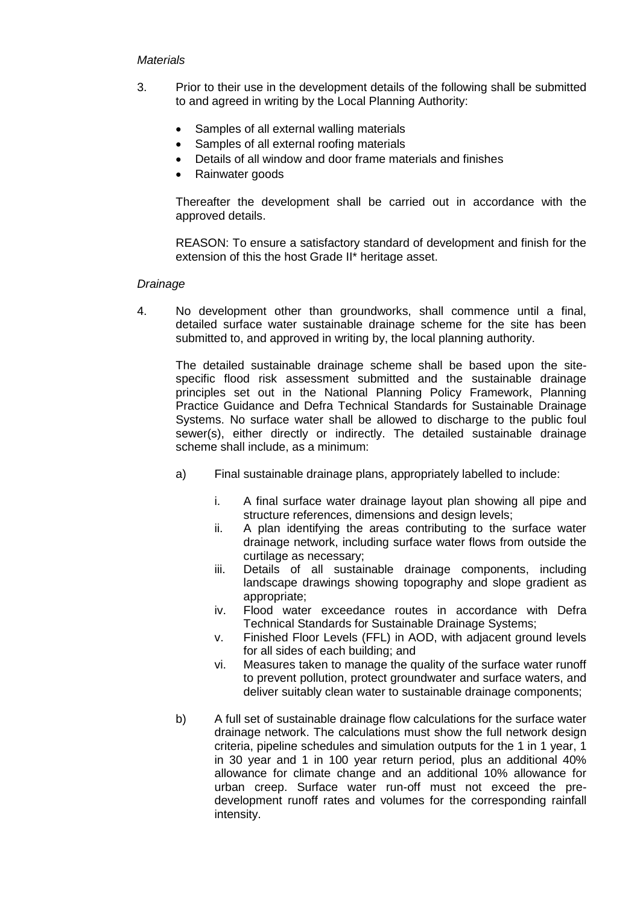## *Materials*

- 3. Prior to their use in the development details of the following shall be submitted to and agreed in writing by the Local Planning Authority:
	- Samples of all external walling materials
	- Samples of all external roofing materials
	- Details of all window and door frame materials and finishes
	- Rainwater goods

Thereafter the development shall be carried out in accordance with the approved details.

REASON: To ensure a satisfactory standard of development and finish for the extension of this the host Grade II\* heritage asset.

## *Drainage*

4. No development other than groundworks, shall commence until a final, detailed surface water sustainable drainage scheme for the site has been submitted to, and approved in writing by, the local planning authority.

The detailed sustainable drainage scheme shall be based upon the sitespecific flood risk assessment submitted and the sustainable drainage principles set out in the National Planning Policy Framework, Planning Practice Guidance and Defra Technical Standards for Sustainable Drainage Systems. No surface water shall be allowed to discharge to the public foul sewer(s), either directly or indirectly. The detailed sustainable drainage scheme shall include, as a minimum:

- a) Final sustainable drainage plans, appropriately labelled to include:
	- i. A final surface water drainage layout plan showing all pipe and structure references, dimensions and design levels;
	- ii. A plan identifying the areas contributing to the surface water drainage network, including surface water flows from outside the curtilage as necessary;
	- iii. Details of all sustainable drainage components, including landscape drawings showing topography and slope gradient as appropriate;
	- iv. Flood water exceedance routes in accordance with Defra Technical Standards for Sustainable Drainage Systems;
	- v. Finished Floor Levels (FFL) in AOD, with adjacent ground levels for all sides of each building; and
	- vi. Measures taken to manage the quality of the surface water runoff to prevent pollution, protect groundwater and surface waters, and deliver suitably clean water to sustainable drainage components;
- b) A full set of sustainable drainage flow calculations for the surface water drainage network. The calculations must show the full network design criteria, pipeline schedules and simulation outputs for the 1 in 1 year, 1 in 30 year and 1 in 100 year return period, plus an additional 40% allowance for climate change and an additional 10% allowance for urban creep. Surface water run-off must not exceed the predevelopment runoff rates and volumes for the corresponding rainfall intensity.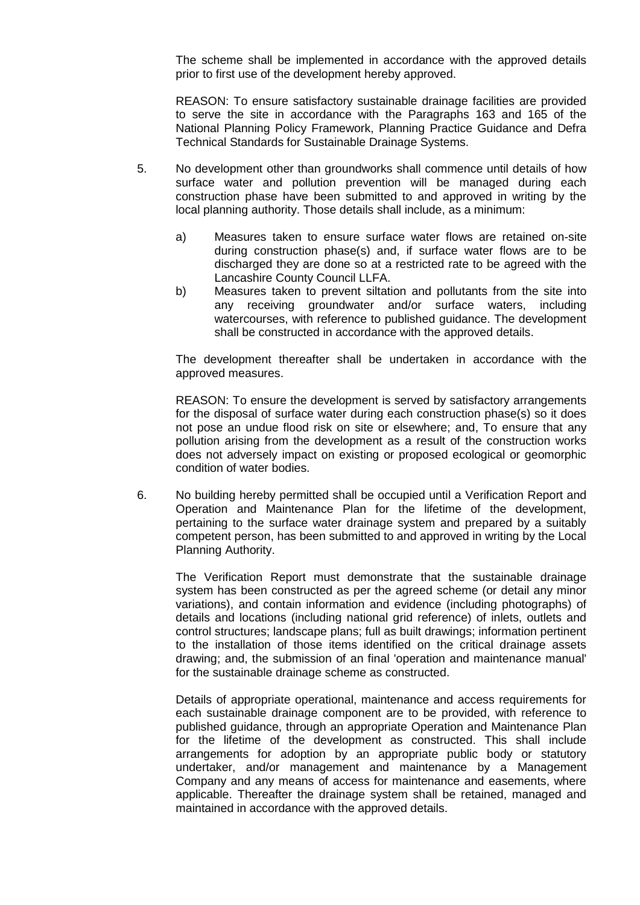The scheme shall be implemented in accordance with the approved details prior to first use of the development hereby approved.

REASON: To ensure satisfactory sustainable drainage facilities are provided to serve the site in accordance with the Paragraphs 163 and 165 of the National Planning Policy Framework, Planning Practice Guidance and Defra Technical Standards for Sustainable Drainage Systems.

- 5. No development other than groundworks shall commence until details of how surface water and pollution prevention will be managed during each construction phase have been submitted to and approved in writing by the local planning authority. Those details shall include, as a minimum:
	- a) Measures taken to ensure surface water flows are retained on-site during construction phase(s) and, if surface water flows are to be discharged they are done so at a restricted rate to be agreed with the Lancashire County Council LLFA.
	- b) Measures taken to prevent siltation and pollutants from the site into any receiving groundwater and/or surface waters, including watercourses, with reference to published guidance. The development shall be constructed in accordance with the approved details.

The development thereafter shall be undertaken in accordance with the approved measures.

REASON: To ensure the development is served by satisfactory arrangements for the disposal of surface water during each construction phase(s) so it does not pose an undue flood risk on site or elsewhere; and, To ensure that any pollution arising from the development as a result of the construction works does not adversely impact on existing or proposed ecological or geomorphic condition of water bodies.

6. No building hereby permitted shall be occupied until a Verification Report and Operation and Maintenance Plan for the lifetime of the development, pertaining to the surface water drainage system and prepared by a suitably competent person, has been submitted to and approved in writing by the Local Planning Authority.

The Verification Report must demonstrate that the sustainable drainage system has been constructed as per the agreed scheme (or detail any minor variations), and contain information and evidence (including photographs) of details and locations (including national grid reference) of inlets, outlets and control structures; landscape plans; full as built drawings; information pertinent to the installation of those items identified on the critical drainage assets drawing; and, the submission of an final 'operation and maintenance manual' for the sustainable drainage scheme as constructed.

Details of appropriate operational, maintenance and access requirements for each sustainable drainage component are to be provided, with reference to published guidance, through an appropriate Operation and Maintenance Plan for the lifetime of the development as constructed. This shall include arrangements for adoption by an appropriate public body or statutory undertaker, and/or management and maintenance by a Management Company and any means of access for maintenance and easements, where applicable. Thereafter the drainage system shall be retained, managed and maintained in accordance with the approved details.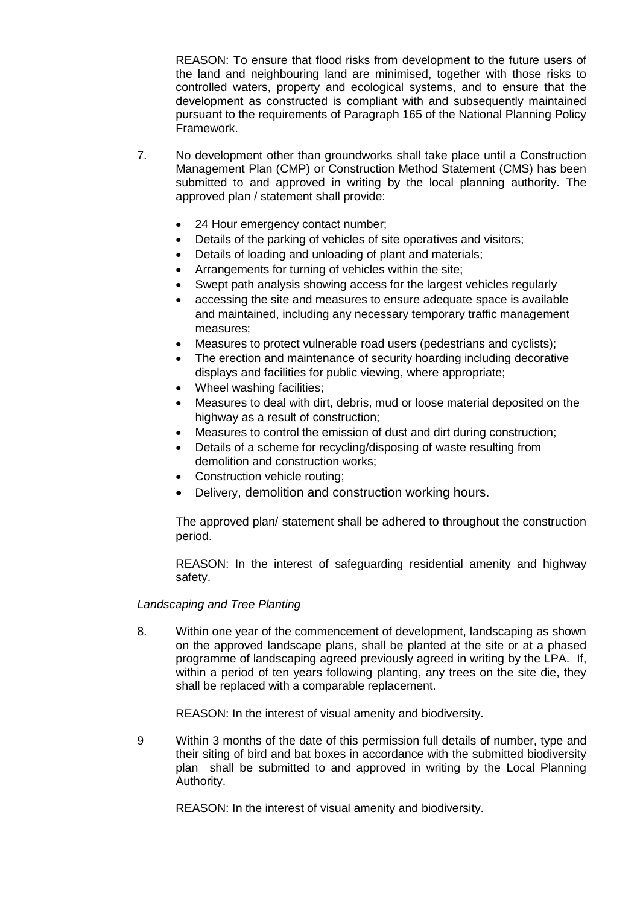REASON: To ensure that flood risks from development to the future users of the land and neighbouring land are minimised, together with those risks to controlled waters, property and ecological systems, and to ensure that the development as constructed is compliant with and subsequently maintained pursuant to the requirements of Paragraph 165 of the National Planning Policy Framework.

- 7. No development other than groundworks shall take place until a Construction Management Plan (CMP) or Construction Method Statement (CMS) has been submitted to and approved in writing by the local planning authority. The approved plan / statement shall provide:
	- 24 Hour emergency contact number;
	- Details of the parking of vehicles of site operatives and visitors;
	- Details of loading and unloading of plant and materials;
	- Arrangements for turning of vehicles within the site;
	- Swept path analysis showing access for the largest vehicles regularly
	- accessing the site and measures to ensure adequate space is available and maintained, including any necessary temporary traffic management measures;
	- Measures to protect vulnerable road users (pedestrians and cyclists);
	- The erection and maintenance of security hoarding including decorative displays and facilities for public viewing, where appropriate;
	- Wheel washing facilities:
	- Measures to deal with dirt, debris, mud or loose material deposited on the highway as a result of construction;
	- Measures to control the emission of dust and dirt during construction;
	- Details of a scheme for recycling/disposing of waste resulting from demolition and construction works;
	- Construction vehicle routing;
	- Delivery, demolition and construction working hours.

The approved plan/ statement shall be adhered to throughout the construction period.

REASON: In the interest of safeguarding residential amenity and highway safety.

# *Landscaping and Tree Planting*

8. Within one year of the commencement of development, landscaping as shown on the approved landscape plans, shall be planted at the site or at a phased programme of landscaping agreed previously agreed in writing by the LPA. If, within a period of ten years following planting, any trees on the site die, they shall be replaced with a comparable replacement.

REASON: In the interest of visual amenity and biodiversity.

9 Within 3 months of the date of this permission full details of number, type and their siting of bird and bat boxes in accordance with the submitted biodiversity plan shall be submitted to and approved in writing by the Local Planning Authority.

REASON: In the interest of visual amenity and biodiversity.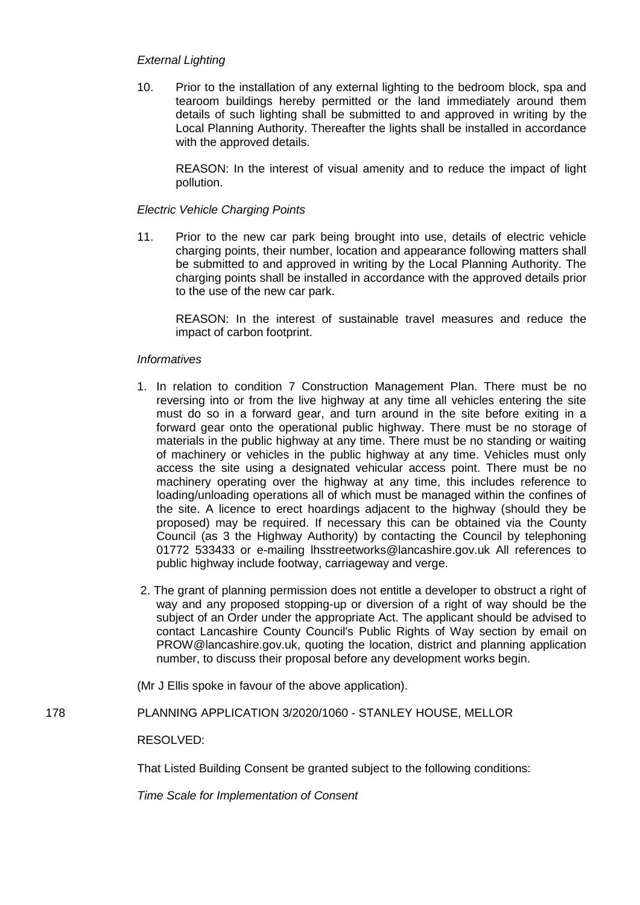# *External Lighting*

10. Prior to the installation of any external lighting to the bedroom block, spa and tearoom buildings hereby permitted or the land immediately around them details of such lighting shall be submitted to and approved in writing by the Local Planning Authority. Thereafter the lights shall be installed in accordance with the approved details.

REASON: In the interest of visual amenity and to reduce the impact of light pollution.

# *Electric Vehicle Charging Points*

11. Prior to the new car park being brought into use, details of electric vehicle charging points, their number, location and appearance following matters shall be submitted to and approved in writing by the Local Planning Authority. The charging points shall be installed in accordance with the approved details prior to the use of the new car park.

REASON: In the interest of sustainable travel measures and reduce the impact of carbon footprint.

## *Informatives*

- 1. In relation to condition 7 Construction Management Plan. There must be no reversing into or from the live highway at any time all vehicles entering the site must do so in a forward gear, and turn around in the site before exiting in a forward gear onto the operational public highway. There must be no storage of materials in the public highway at any time. There must be no standing or waiting of machinery or vehicles in the public highway at any time. Vehicles must only access the site using a designated vehicular access point. There must be no machinery operating over the highway at any time, this includes reference to loading/unloading operations all of which must be managed within the confines of the site. A licence to erect hoardings adjacent to the highway (should they be proposed) may be required. If necessary this can be obtained via the County Council (as 3 the Highway Authority) by contacting the Council by telephoning 01772 533433 or e-mailing lhsstreetworks@lancashire.gov.uk All references to public highway include footway, carriageway and verge.
- 2. The grant of planning permission does not entitle a developer to obstruct a right of way and any proposed stopping-up or diversion of a right of way should be the subject of an Order under the appropriate Act. The applicant should be advised to contact Lancashire County Council's Public Rights of Way section by email on PROW@lancashire.gov.uk, quoting the location, district and planning application number, to discuss their proposal before any development works begin.

(Mr J Ellis spoke in favour of the above application).

# 178 PLANNING APPLICATION 3/2020/1060 - STANLEY HOUSE, MELLOR

#### RESOLVED:

That Listed Building Consent be granted subject to the following conditions:

*Time Scale for Implementation of Consent*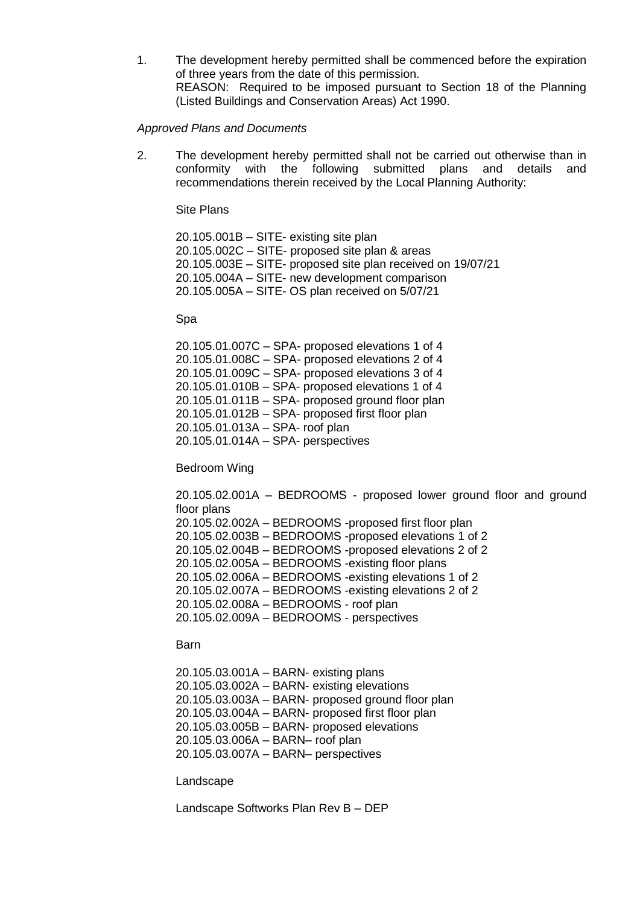1. The development hereby permitted shall be commenced before the expiration of three years from the date of this permission. REASON: Required to be imposed pursuant to Section 18 of the Planning (Listed Buildings and Conservation Areas) Act 1990.

#### *Approved Plans and Documents*

2. The development hereby permitted shall not be carried out otherwise than in conformity with the following submitted plans and details and recommendations therein received by the Local Planning Authority:

Site Plans

20.105.001B – SITE- existing site plan 20.105.002C – SITE- proposed site plan & areas 20.105.003E – SITE- proposed site plan received on 19/07/21 20.105.004A – SITE- new development comparison 20.105.005A – SITE- OS plan received on 5/07/21

#### Spa

20.105.01.007C – SPA- proposed elevations 1 of 4 20.105.01.008C – SPA- proposed elevations 2 of 4 20.105.01.009C – SPA- proposed elevations 3 of 4 20.105.01.010B – SPA- proposed elevations 1 of 4 20.105.01.011B – SPA- proposed ground floor plan 20.105.01.012B – SPA- proposed first floor plan 20.105.01.013A – SPA- roof plan 20.105.01.014A – SPA- perspectives

#### Bedroom Wing

20.105.02.001A – BEDROOMS - proposed lower ground floor and ground floor plans 20.105.02.002A – BEDROOMS -proposed first floor plan 20.105.02.003B – BEDROOMS -proposed elevations 1 of 2 20.105.02.004B – BEDROOMS -proposed elevations 2 of 2 20.105.02.005A – BEDROOMS -existing floor plans 20.105.02.006A – BEDROOMS -existing elevations 1 of 2 20.105.02.007A – BEDROOMS -existing elevations 2 of 2 20.105.02.008A – BEDROOMS - roof plan 20.105.02.009A – BEDROOMS - perspectives

#### Barn

20.105.03.001A – BARN- existing plans 20.105.03.002A – BARN- existing elevations 20.105.03.003A – BARN- proposed ground floor plan 20.105.03.004A – BARN- proposed first floor plan 20.105.03.005B – BARN- proposed elevations 20.105.03.006A – BARN– roof plan 20.105.03.007A – BARN– perspectives

#### Landscape

Landscape Softworks Plan Rev B – DEP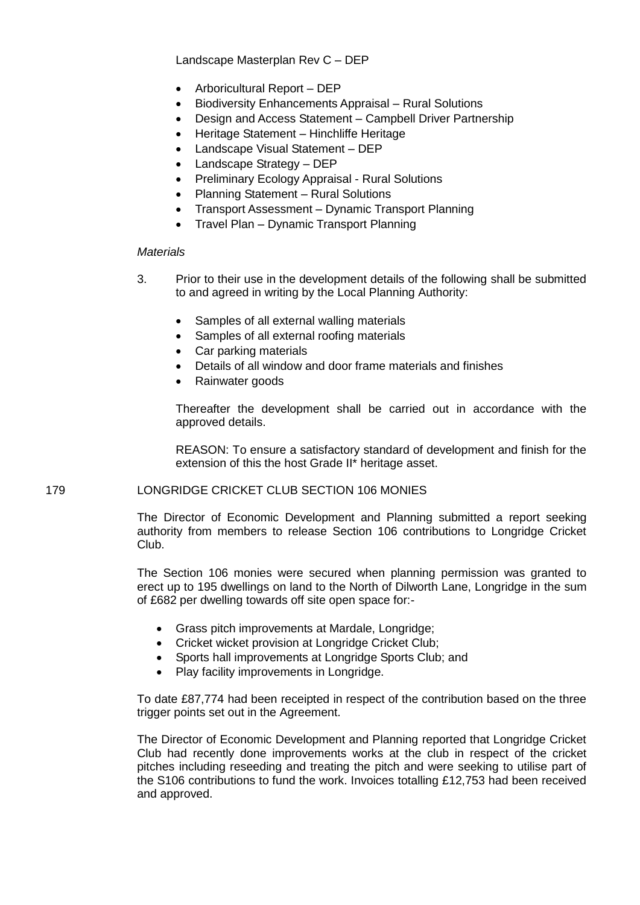Landscape Masterplan Rev C – DEP

- Arboricultural Report DEP
- Biodiversity Enhancements Appraisal Rural Solutions
- Design and Access Statement Campbell Driver Partnership
- Heritage Statement Hinchliffe Heritage
- Landscape Visual Statement DEP
- Landscape Strategy DEP
- Preliminary Ecology Appraisal Rural Solutions
- Planning Statement Rural Solutions
- Transport Assessment Dynamic Transport Planning
- Travel Plan Dynamic Transport Planning

## *Materials*

- 3. Prior to their use in the development details of the following shall be submitted to and agreed in writing by the Local Planning Authority:
	- Samples of all external walling materials
	- Samples of all external roofing materials
	- Car parking materials
	- Details of all window and door frame materials and finishes
	- Rainwater goods

Thereafter the development shall be carried out in accordance with the approved details.

REASON: To ensure a satisfactory standard of development and finish for the extension of this the host Grade II\* heritage asset.

# 179 LONGRIDGE CRICKET CLUB SECTION 106 MONIES

The Director of Economic Development and Planning submitted a report seeking authority from members to release Section 106 contributions to Longridge Cricket Club.

The Section 106 monies were secured when planning permission was granted to erect up to 195 dwellings on land to the North of Dilworth Lane, Longridge in the sum of £682 per dwelling towards off site open space for:-

- Grass pitch improvements at Mardale, Longridge;
- Cricket wicket provision at Longridge Cricket Club;
- Sports hall improvements at Longridge Sports Club; and
- Play facility improvements in Longridge.

To date £87,774 had been receipted in respect of the contribution based on the three trigger points set out in the Agreement.

The Director of Economic Development and Planning reported that Longridge Cricket Club had recently done improvements works at the club in respect of the cricket pitches including reseeding and treating the pitch and were seeking to utilise part of the S106 contributions to fund the work. Invoices totalling £12,753 had been received and approved.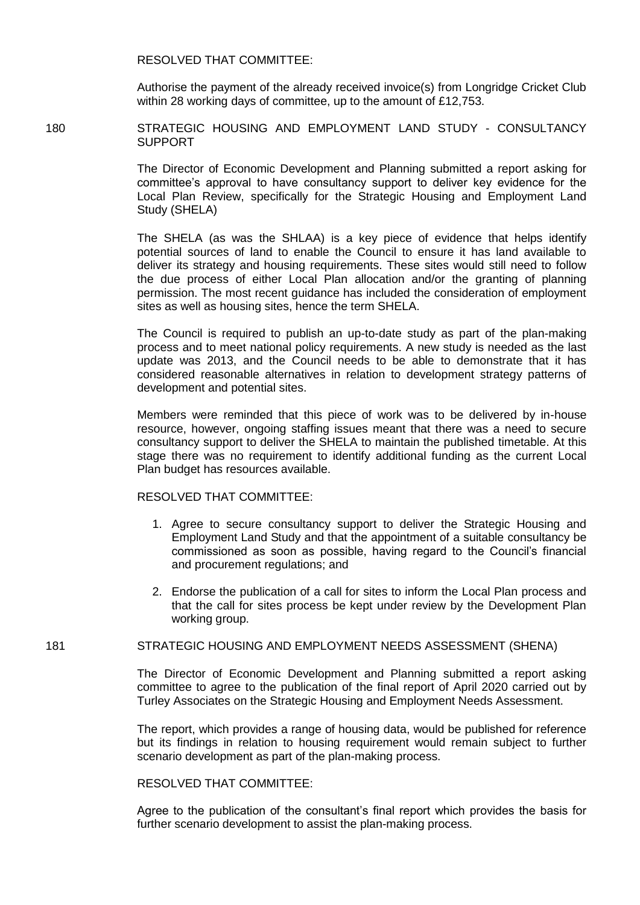RESOLVED THAT COMMITTEE:

Authorise the payment of the already received invoice(s) from Longridge Cricket Club within 28 working days of committee, up to the amount of £12,753.

180 STRATEGIC HOUSING AND EMPLOYMENT LAND STUDY - CONSULTANCY SUPPORT

> The Director of Economic Development and Planning submitted a report asking for committee's approval to have consultancy support to deliver key evidence for the Local Plan Review, specifically for the Strategic Housing and Employment Land Study (SHELA)

> The SHELA (as was the SHLAA) is a key piece of evidence that helps identify potential sources of land to enable the Council to ensure it has land available to deliver its strategy and housing requirements. These sites would still need to follow the due process of either Local Plan allocation and/or the granting of planning permission. The most recent guidance has included the consideration of employment sites as well as housing sites, hence the term SHELA.

> The Council is required to publish an up-to-date study as part of the plan-making process and to meet national policy requirements. A new study is needed as the last update was 2013, and the Council needs to be able to demonstrate that it has considered reasonable alternatives in relation to development strategy patterns of development and potential sites.

> Members were reminded that this piece of work was to be delivered by in-house resource, however, ongoing staffing issues meant that there was a need to secure consultancy support to deliver the SHELA to maintain the published timetable. At this stage there was no requirement to identify additional funding as the current Local Plan budget has resources available.

#### RESOLVED THAT COMMITTEE:

- 1. Agree to secure consultancy support to deliver the Strategic Housing and Employment Land Study and that the appointment of a suitable consultancy be commissioned as soon as possible, having regard to the Council's financial and procurement regulations; and
- 2. Endorse the publication of a call for sites to inform the Local Plan process and that the call for sites process be kept under review by the Development Plan working group.

#### 181 STRATEGIC HOUSING AND EMPLOYMENT NEEDS ASSESSMENT (SHENA)

The Director of Economic Development and Planning submitted a report asking committee to agree to the publication of the final report of April 2020 carried out by Turley Associates on the Strategic Housing and Employment Needs Assessment.

The report, which provides a range of housing data, would be published for reference but its findings in relation to housing requirement would remain subject to further scenario development as part of the plan-making process.

RESOLVED THAT COMMITTEE:

Agree to the publication of the consultant's final report which provides the basis for further scenario development to assist the plan-making process.